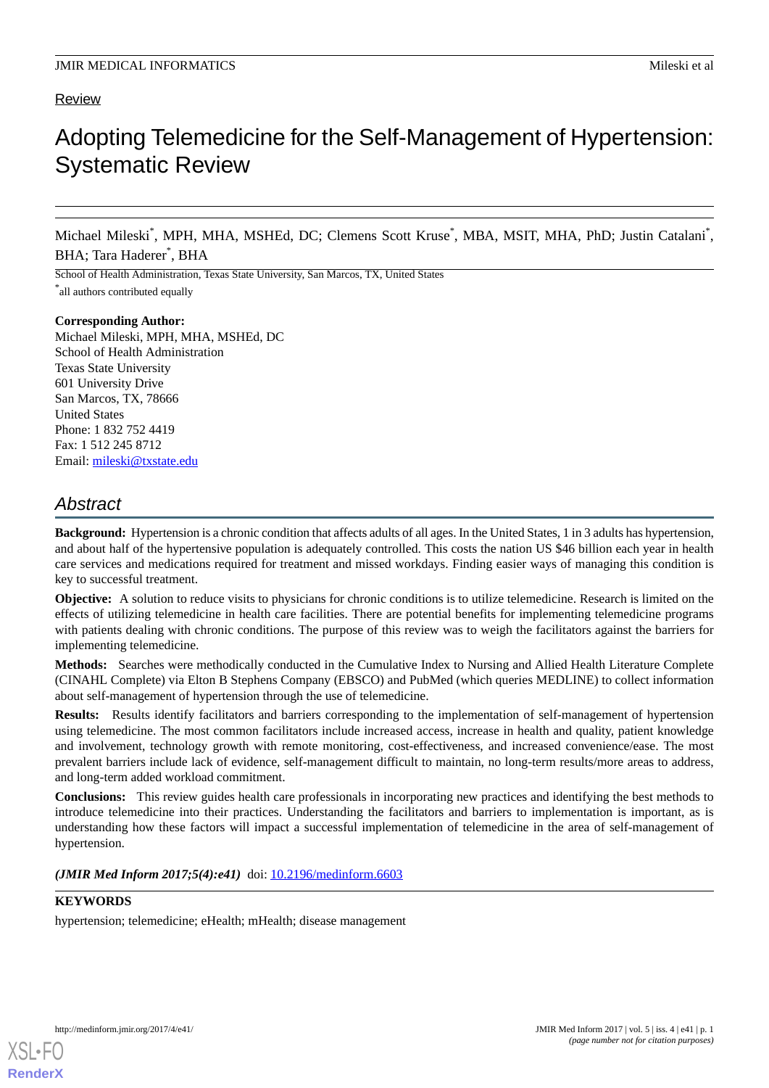# Review

# Adopting Telemedicine for the Self-Management of Hypertension: Systematic Review

Michael Mileski<sup>\*</sup>, MPH, MHA, MSHEd, DC; Clemens Scott Kruse<sup>\*</sup>, MBA, MSIT, MHA, PhD; Justin Catalani<sup>\*</sup>, BHA; Tara Haderer\* , BHA

School of Health Administration, Texas State University, San Marcos, TX, United States

\* all authors contributed equally

# **Corresponding Author:**

Michael Mileski, MPH, MHA, MSHEd, DC School of Health Administration Texas State University 601 University Drive San Marcos, TX, 78666 United States Phone: 1 832 752 4419 Fax: 1 512 245 8712 Email: [mileski@txstate.edu](mailto:mileski@txstate.edu)

# *Abstract*

**Background:** Hypertension is a chronic condition that affects adults of all ages. In the United States, 1 in 3 adults has hypertension, and about half of the hypertensive population is adequately controlled. This costs the nation US \$46 billion each year in health care services and medications required for treatment and missed workdays. Finding easier ways of managing this condition is key to successful treatment.

**Objective:** A solution to reduce visits to physicians for chronic conditions is to utilize telemedicine. Research is limited on the effects of utilizing telemedicine in health care facilities. There are potential benefits for implementing telemedicine programs with patients dealing with chronic conditions. The purpose of this review was to weigh the facilitators against the barriers for implementing telemedicine.

**Methods:** Searches were methodically conducted in the Cumulative Index to Nursing and Allied Health Literature Complete (CINAHL Complete) via Elton B Stephens Company (EBSCO) and PubMed (which queries MEDLINE) to collect information about self-management of hypertension through the use of telemedicine.

**Results:** Results identify facilitators and barriers corresponding to the implementation of self-management of hypertension using telemedicine. The most common facilitators include increased access, increase in health and quality, patient knowledge and involvement, technology growth with remote monitoring, cost-effectiveness, and increased convenience/ease. The most prevalent barriers include lack of evidence, self-management difficult to maintain, no long-term results/more areas to address, and long-term added workload commitment.

**Conclusions:** This review guides health care professionals in incorporating new practices and identifying the best methods to introduce telemedicine into their practices. Understanding the facilitators and barriers to implementation is important, as is understanding how these factors will impact a successful implementation of telemedicine in the area of self-management of hypertension.

(JMIR Med Inform 2017;5(4):e41) doi: [10.2196/medinform.6603](http://dx.doi.org/10.2196/medinform.6603)

# **KEYWORDS**

hypertension; telemedicine; eHealth; mHealth; disease management

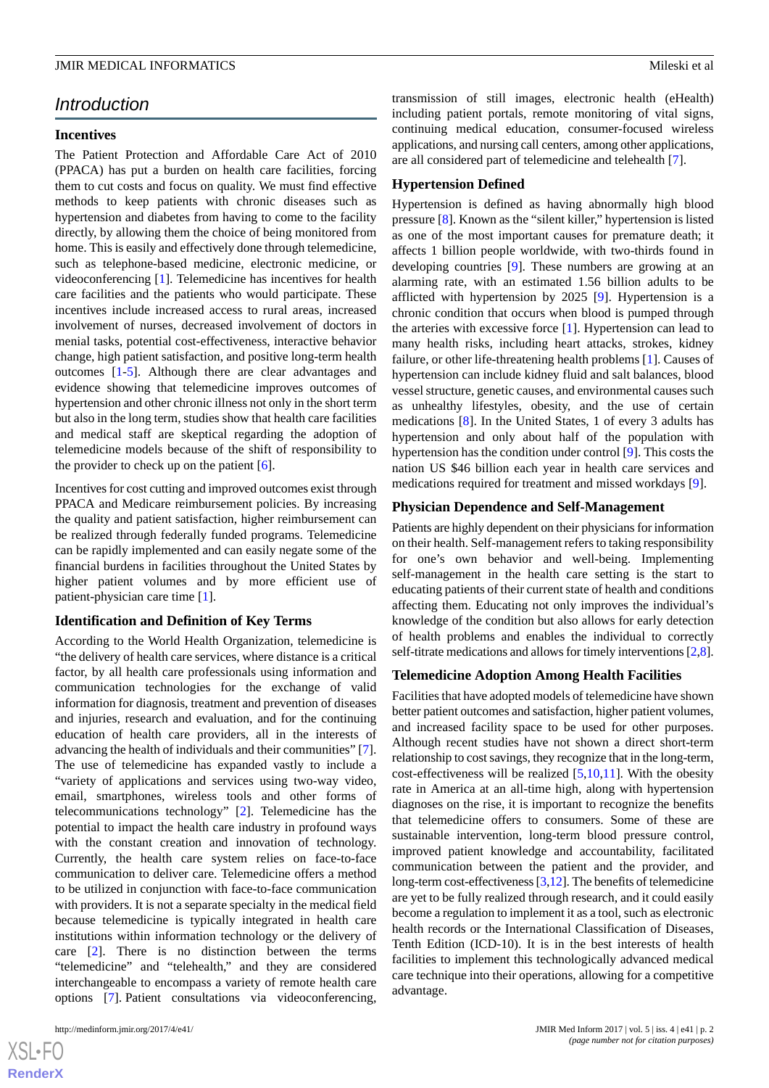# *Introduction*

# **Incentives**

The Patient Protection and Affordable Care Act of 2010 (PPACA) has put a burden on health care facilities, forcing them to cut costs and focus on quality. We must find effective methods to keep patients with chronic diseases such as hypertension and diabetes from having to come to the facility directly, by allowing them the choice of being monitored from home. This is easily and effectively done through telemedicine, such as telephone-based medicine, electronic medicine, or videoconferencing [\[1](#page-10-0)]. Telemedicine has incentives for health care facilities and the patients who would participate. These incentives include increased access to rural areas, increased involvement of nurses, decreased involvement of doctors in menial tasks, potential cost-effectiveness, interactive behavior change, high patient satisfaction, and positive long-term health outcomes [[1](#page-10-0)[-5](#page-10-1)]. Although there are clear advantages and evidence showing that telemedicine improves outcomes of hypertension and other chronic illness not only in the short term but also in the long term, studies show that health care facilities and medical staff are skeptical regarding the adoption of telemedicine models because of the shift of responsibility to the provider to check up on the patient  $[6]$  $[6]$ .

Incentives for cost cutting and improved outcomes exist through PPACA and Medicare reimbursement policies. By increasing the quality and patient satisfaction, higher reimbursement can be realized through federally funded programs. Telemedicine can be rapidly implemented and can easily negate some of the financial burdens in facilities throughout the United States by higher patient volumes and by more efficient use of patient-physician care time [[1\]](#page-10-0).

### **Identification and Definition of Key Terms**

According to the World Health Organization, telemedicine is "the delivery of health care services, where distance is a critical factor, by all health care professionals using information and communication technologies for the exchange of valid information for diagnosis, treatment and prevention of diseases and injuries, research and evaluation, and for the continuing education of health care providers, all in the interests of advancing the health of individuals and their communities" [[7\]](#page-10-3). The use of telemedicine has expanded vastly to include a "variety of applications and services using two-way video, email, smartphones, wireless tools and other forms of telecommunications technology" [[2\]](#page-10-4). Telemedicine has the potential to impact the health care industry in profound ways with the constant creation and innovation of technology. Currently, the health care system relies on face-to-face communication to deliver care. Telemedicine offers a method to be utilized in conjunction with face-to-face communication with providers. It is not a separate specialty in the medical field because telemedicine is typically integrated in health care institutions within information technology or the delivery of care [\[2](#page-10-4)]. There is no distinction between the terms "telemedicine" and "telehealth," and they are considered interchangeable to encompass a variety of remote health care options [[7\]](#page-10-3). Patient consultations via videoconferencing,

transmission of still images, electronic health (eHealth) including patient portals, remote monitoring of vital signs, continuing medical education, consumer-focused wireless applications, and nursing call centers, among other applications, are all considered part of telemedicine and telehealth [[7\]](#page-10-3).

### **Hypertension Defined**

Hypertension is defined as having abnormally high blood pressure [\[8](#page-10-5)]. Known as the "silent killer," hypertension is listed as one of the most important causes for premature death; it affects 1 billion people worldwide, with two-thirds found in developing countries [\[9](#page-10-6)]. These numbers are growing at an alarming rate, with an estimated 1.56 billion adults to be afflicted with hypertension by 2025 [[9\]](#page-10-6). Hypertension is a chronic condition that occurs when blood is pumped through the arteries with excessive force [[1\]](#page-10-0). Hypertension can lead to many health risks, including heart attacks, strokes, kidney failure, or other life-threatening health problems [[1\]](#page-10-0). Causes of hypertension can include kidney fluid and salt balances, blood vessel structure, genetic causes, and environmental causes such as unhealthy lifestyles, obesity, and the use of certain medications [\[8\]](#page-10-5). In the United States, 1 of every 3 adults has hypertension and only about half of the population with hypertension has the condition under control [[9\]](#page-10-6). This costs the nation US \$46 billion each year in health care services and medications required for treatment and missed workdays [\[9\]](#page-10-6).

### **Physician Dependence and Self-Management**

Patients are highly dependent on their physicians for information on their health. Self-management refers to taking responsibility for one's own behavior and well-being. Implementing self-management in the health care setting is the start to educating patients of their current state of health and conditions affecting them. Educating not only improves the individual's knowledge of the condition but also allows for early detection of health problems and enables the individual to correctly self-titrate medications and allows for timely interventions [[2,](#page-10-4)[8](#page-10-5)].

### **Telemedicine Adoption Among Health Facilities**

Facilities that have adopted models of telemedicine have shown better patient outcomes and satisfaction, higher patient volumes, and increased facility space to be used for other purposes. Although recent studies have not shown a direct short-term relationship to cost savings, they recognize that in the long-term, cost-effectiveness will be realized  $[5,10,11]$  $[5,10,11]$  $[5,10,11]$  $[5,10,11]$  $[5,10,11]$ . With the obesity rate in America at an all-time high, along with hypertension diagnoses on the rise, it is important to recognize the benefits that telemedicine offers to consumers. Some of these are sustainable intervention, long-term blood pressure control, improved patient knowledge and accountability, facilitated communication between the patient and the provider, and long-term cost-effectiveness [\[3](#page-10-9),[12\]](#page-10-10). The benefits of telemedicine are yet to be fully realized through research, and it could easily become a regulation to implement it as a tool, such as electronic health records or the International Classification of Diseases, Tenth Edition (ICD-10). It is in the best interests of health facilities to implement this technologically advanced medical care technique into their operations, allowing for a competitive advantage.

 $XSI - F($ **[RenderX](http://www.renderx.com/)**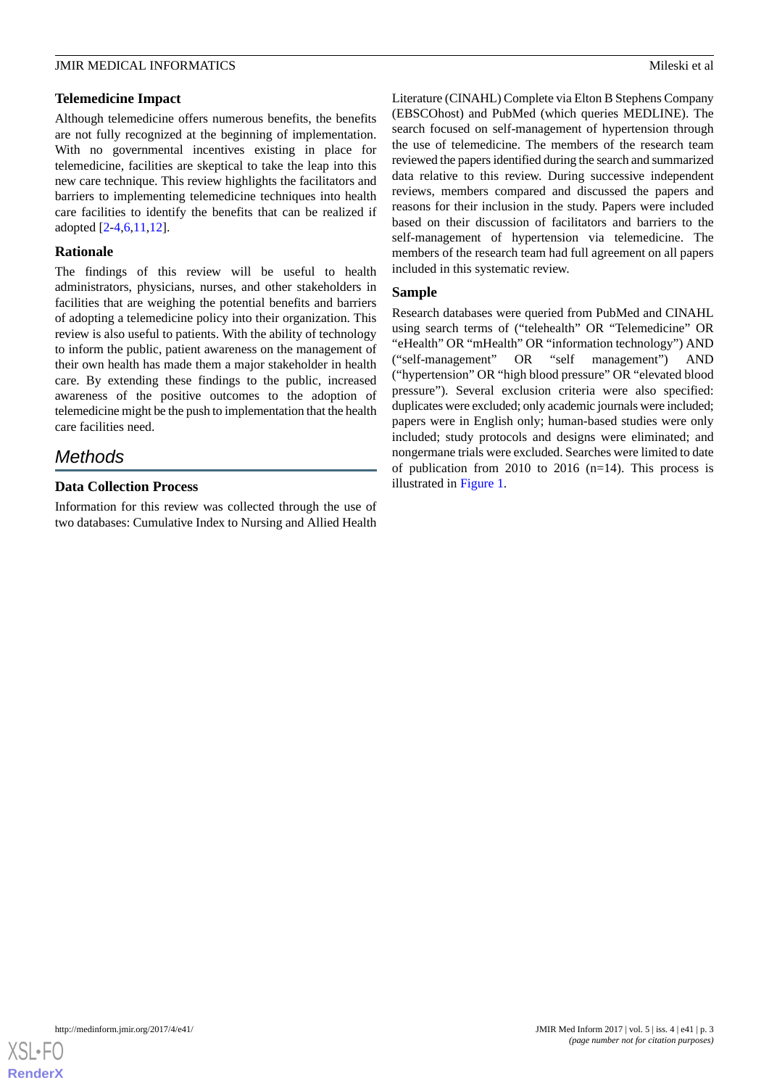# **Telemedicine Impact**

Although telemedicine offers numerous benefits, the benefits are not fully recognized at the beginning of implementation. With no governmental incentives existing in place for telemedicine, facilities are skeptical to take the leap into this new care technique. This review highlights the facilitators and barriers to implementing telemedicine techniques into health care facilities to identify the benefits that can be realized if adopted [\[2](#page-10-4)[-4](#page-10-11),[6](#page-10-2)[,11](#page-10-8),[12\]](#page-10-10).

# **Rationale**

The findings of this review will be useful to health administrators, physicians, nurses, and other stakeholders in facilities that are weighing the potential benefits and barriers of adopting a telemedicine policy into their organization. This review is also useful to patients. With the ability of technology to inform the public, patient awareness on the management of their own health has made them a major stakeholder in health care. By extending these findings to the public, increased awareness of the positive outcomes to the adoption of telemedicine might be the push to implementation that the health care facilities need.

# *Methods*

# **Data Collection Process**

Information for this review was collected through the use of two databases: Cumulative Index to Nursing and Allied Health

Literature (CINAHL) Complete via Elton B Stephens Company (EBSCOhost) and PubMed (which queries MEDLINE). The search focused on self-management of hypertension through the use of telemedicine. The members of the research team reviewed the papers identified during the search and summarized data relative to this review. During successive independent reviews, members compared and discussed the papers and reasons for their inclusion in the study. Papers were included based on their discussion of facilitators and barriers to the self-management of hypertension via telemedicine. The members of the research team had full agreement on all papers included in this systematic review.

# **Sample**

Research databases were queried from PubMed and CINAHL using search terms of ("telehealth" OR "Telemedicine" OR "eHealth" OR "mHealth" OR "information technology") AND ("self-management" OR "self management") AND ("hypertension" OR "high blood pressure" OR "elevated blood pressure"). Several exclusion criteria were also specified: duplicates were excluded; only academic journals were included; papers were in English only; human-based studies were only included; study protocols and designs were eliminated; and nongermane trials were excluded. Searches were limited to date of publication from 2010 to 2016  $(n=14)$ . This process is illustrated in [Figure 1](#page-3-0).

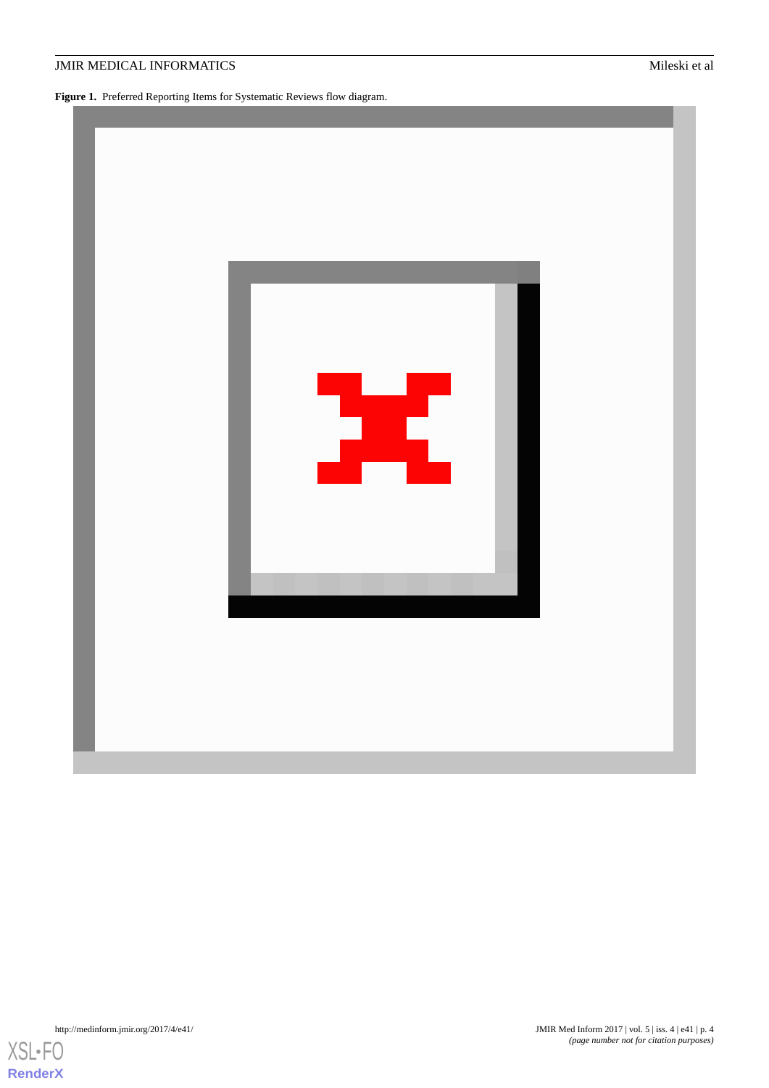# **JMIR MEDICAL INFORMATICS** Mileski et al.

<span id="page-3-0"></span>**Figure 1.** Preferred Reporting Items for Systematic Reviews flow diagram.



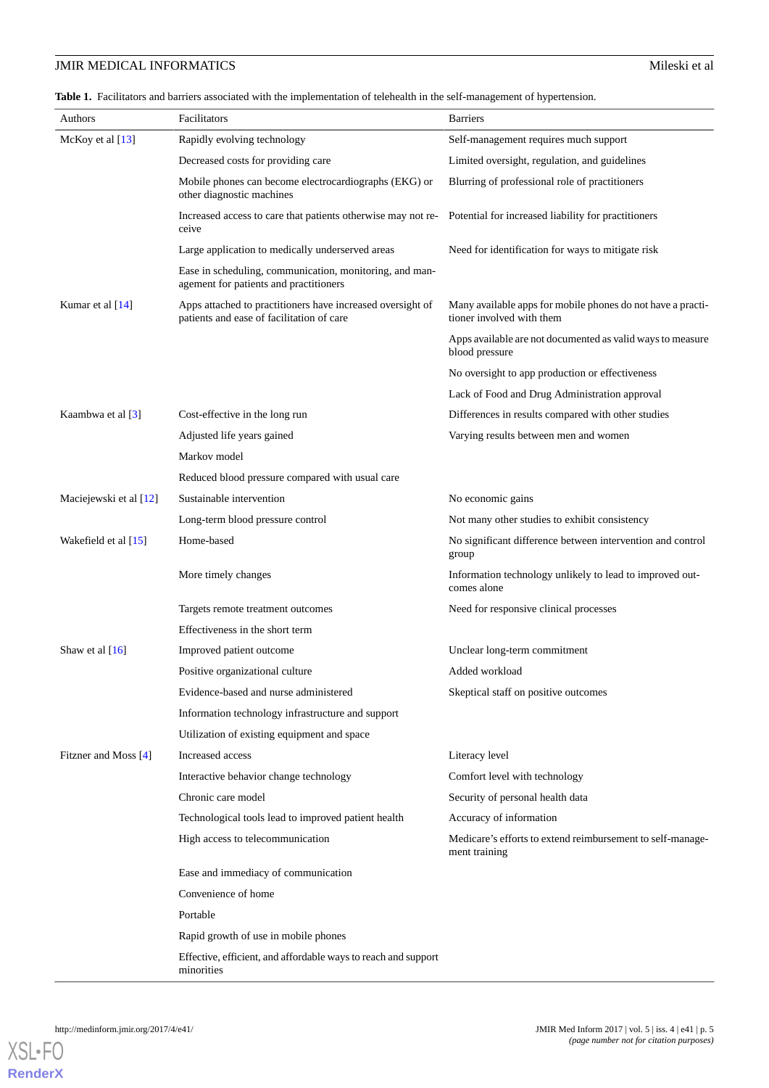# **JMIR MEDICAL INFORMATICS** Mileski et al.

<span id="page-4-0"></span>Table 1. Facilitators and barriers associated with the implementation of telehealth in the self-management of hypertension.

| Authors                | Facilitators                                                                                            | <b>Barriers</b>                                                                          |  |  |  |
|------------------------|---------------------------------------------------------------------------------------------------------|------------------------------------------------------------------------------------------|--|--|--|
| McKoy et al $[13]$     | Rapidly evolving technology                                                                             | Self-management requires much support                                                    |  |  |  |
|                        | Decreased costs for providing care                                                                      | Limited oversight, regulation, and guidelines                                            |  |  |  |
|                        | Mobile phones can become electrocardiographs (EKG) or<br>other diagnostic machines                      | Blurring of professional role of practitioners                                           |  |  |  |
|                        | Increased access to care that patients otherwise may not re-<br>ceive                                   | Potential for increased liability for practitioners                                      |  |  |  |
|                        | Large application to medically underserved areas                                                        | Need for identification for ways to mitigate risk                                        |  |  |  |
|                        | Ease in scheduling, communication, monitoring, and man-<br>agement for patients and practitioners       |                                                                                          |  |  |  |
| Kumar et al [14]       | Apps attached to practitioners have increased oversight of<br>patients and ease of facilitation of care | Many available apps for mobile phones do not have a practi-<br>tioner involved with them |  |  |  |
|                        |                                                                                                         | Apps available are not documented as valid ways to measure<br>blood pressure             |  |  |  |
|                        |                                                                                                         | No oversight to app production or effectiveness                                          |  |  |  |
|                        |                                                                                                         | Lack of Food and Drug Administration approval                                            |  |  |  |
| Kaambwa et al [3]      | Cost-effective in the long run                                                                          | Differences in results compared with other studies                                       |  |  |  |
|                        | Adjusted life years gained                                                                              | Varying results between men and women                                                    |  |  |  |
|                        | Markov model                                                                                            |                                                                                          |  |  |  |
|                        | Reduced blood pressure compared with usual care                                                         |                                                                                          |  |  |  |
| Maciejewski et al [12] | Sustainable intervention                                                                                | No economic gains                                                                        |  |  |  |
|                        | Long-term blood pressure control                                                                        | Not many other studies to exhibit consistency                                            |  |  |  |
| Wakefield et al [15]   | Home-based                                                                                              | No significant difference between intervention and control<br>group                      |  |  |  |
|                        | More timely changes                                                                                     | Information technology unlikely to lead to improved out-<br>comes alone                  |  |  |  |
|                        | Targets remote treatment outcomes                                                                       | Need for responsive clinical processes                                                   |  |  |  |
|                        | Effectiveness in the short term                                                                         |                                                                                          |  |  |  |
| Shaw et al $[16]$      | Improved patient outcome                                                                                | Unclear long-term commitment                                                             |  |  |  |
|                        | Positive organizational culture                                                                         | Added workload                                                                           |  |  |  |
|                        | Evidence-based and nurse administered                                                                   | Skeptical staff on positive outcomes                                                     |  |  |  |
|                        | Information technology infrastructure and support                                                       |                                                                                          |  |  |  |
|                        | Utilization of existing equipment and space                                                             |                                                                                          |  |  |  |
| Fitzner and Moss [4]   | Increased access                                                                                        | Literacy level                                                                           |  |  |  |
|                        | Interactive behavior change technology                                                                  | Comfort level with technology                                                            |  |  |  |
|                        | Chronic care model                                                                                      | Security of personal health data                                                         |  |  |  |
|                        | Technological tools lead to improved patient health                                                     | Accuracy of information                                                                  |  |  |  |
|                        | High access to telecommunication                                                                        | Medicare's efforts to extend reimbursement to self-manage-<br>ment training              |  |  |  |
|                        | Ease and immediacy of communication                                                                     |                                                                                          |  |  |  |
|                        | Convenience of home                                                                                     |                                                                                          |  |  |  |
|                        | Portable                                                                                                |                                                                                          |  |  |  |
|                        | Rapid growth of use in mobile phones                                                                    |                                                                                          |  |  |  |
|                        | Effective, efficient, and affordable ways to reach and support<br>minorities                            |                                                                                          |  |  |  |

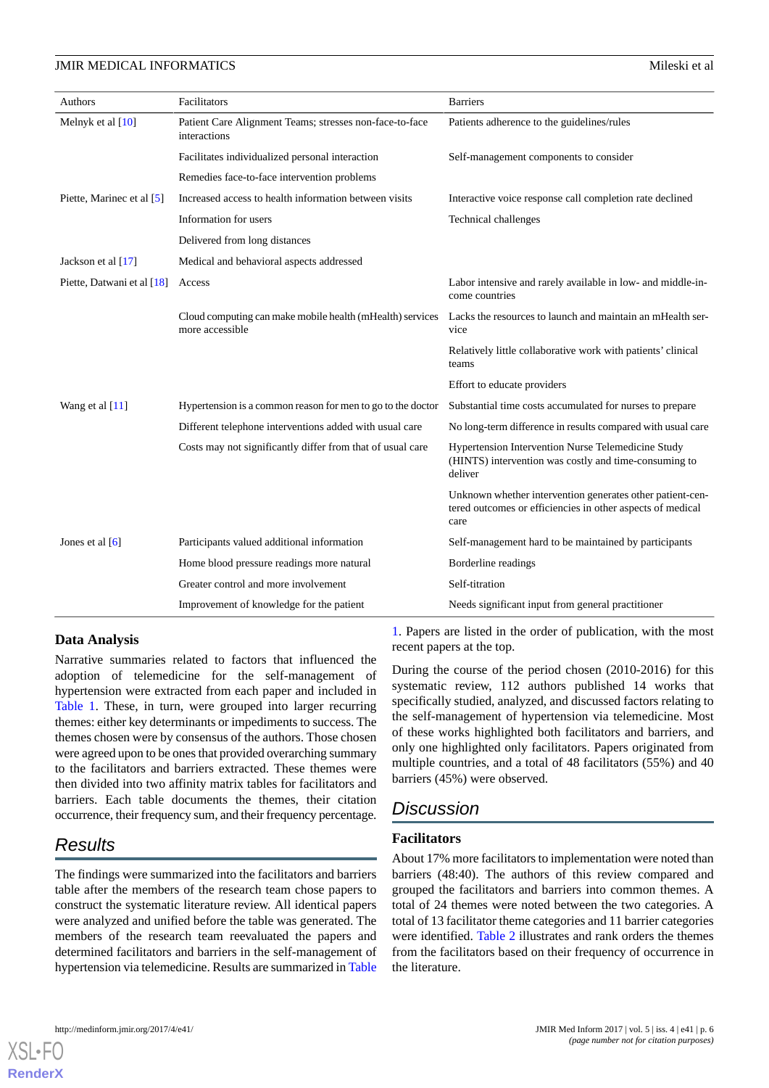### **JMIR MEDICAL INFORMATICS** And the state of all the state of all the state of all the state of all the state of all the state of all the state of all the state of all the state of all the state of all the state of all the

| Authors                       | Facilitators                                                                 | <b>Barriers</b>                                                                                                                 |
|-------------------------------|------------------------------------------------------------------------------|---------------------------------------------------------------------------------------------------------------------------------|
| Melnyk et al $[10]$           | Patient Care Alignment Teams; stresses non-face-to-face<br>interactions      | Patients adherence to the guidelines/rules                                                                                      |
|                               | Facilitates individualized personal interaction                              | Self-management components to consider                                                                                          |
|                               | Remedies face-to-face intervention problems                                  |                                                                                                                                 |
| Piette, Marinec et al [5]     | Increased access to health information between visits                        | Interactive voice response call completion rate declined                                                                        |
|                               | Information for users                                                        | Technical challenges                                                                                                            |
|                               | Delivered from long distances                                                |                                                                                                                                 |
| Jackson et al $[17]$          | Medical and behavioral aspects addressed                                     |                                                                                                                                 |
| Piette, Datwani et al $[18]$  | Access                                                                       | Labor intensive and rarely available in low- and middle-in-<br>come countries                                                   |
|                               | Cloud computing can make mobile health (mHealth) services<br>more accessible | Lacks the resources to launch and maintain an mHealth ser-<br>vice                                                              |
|                               |                                                                              | Relatively little collaborative work with patients' clinical<br>teams                                                           |
|                               |                                                                              | Effort to educate providers                                                                                                     |
| Wang et al [11]               | Hypertension is a common reason for men to go to the doctor                  | Substantial time costs accumulated for nurses to prepare                                                                        |
|                               | Different telephone interventions added with usual care                      | No long-term difference in results compared with usual care                                                                     |
|                               | Costs may not significantly differ from that of usual care                   | Hypertension Intervention Nurse Telemedicine Study<br>(HINTS) intervention was costly and time-consuming to<br>deliver          |
|                               |                                                                              | Unknown whether intervention generates other patient-cen-<br>tered outcomes or efficiencies in other aspects of medical<br>care |
| Jones et al $\lceil 6 \rceil$ | Participants valued additional information                                   | Self-management hard to be maintained by participants                                                                           |
|                               | Home blood pressure readings more natural                                    | Borderline readings                                                                                                             |
|                               | Greater control and more involvement                                         | Self-titration                                                                                                                  |
|                               | Improvement of knowledge for the patient                                     | Needs significant input from general practitioner                                                                               |

# **Data Analysis**

Narrative summaries related to factors that influenced the adoption of telemedicine for the self-management of hypertension were extracted from each paper and included in [Table 1.](#page-4-0) These, in turn, were grouped into larger recurring themes: either key determinants or impediments to success. The themes chosen were by consensus of the authors. Those chosen were agreed upon to be ones that provided overarching summary to the facilitators and barriers extracted. These themes were then divided into two affinity matrix tables for facilitators and barriers. Each table documents the themes, their citation occurrence, their frequency sum, and their frequency percentage.

# *Results*

The findings were summarized into the facilitators and barriers table after the members of the research team chose papers to construct the systematic literature review. All identical papers were analyzed and unified before the table was generated. The members of the research team reevaluated the papers and determined facilitators and barriers in the self-management of hypertension via telemedicine. Results are summarized in [Table](#page-4-0)

[1.](#page-4-0) Papers are listed in the order of publication, with the most recent papers at the top.

During the course of the period chosen (2010-2016) for this systematic review, 112 authors published 14 works that specifically studied, analyzed, and discussed factors relating to the self-management of hypertension via telemedicine. Most of these works highlighted both facilitators and barriers, and only one highlighted only facilitators. Papers originated from multiple countries, and a total of 48 facilitators (55%) and 40 barriers (45%) were observed.

# *Discussion*

# **Facilitators**

About 17% more facilitators to implementation were noted than barriers (48:40). The authors of this review compared and grouped the facilitators and barriers into common themes. A total of 24 themes were noted between the two categories. A total of 13 facilitator theme categories and 11 barrier categories were identified. [Table 2](#page-6-0) illustrates and rank orders the themes from the facilitators based on their frequency of occurrence in the literature.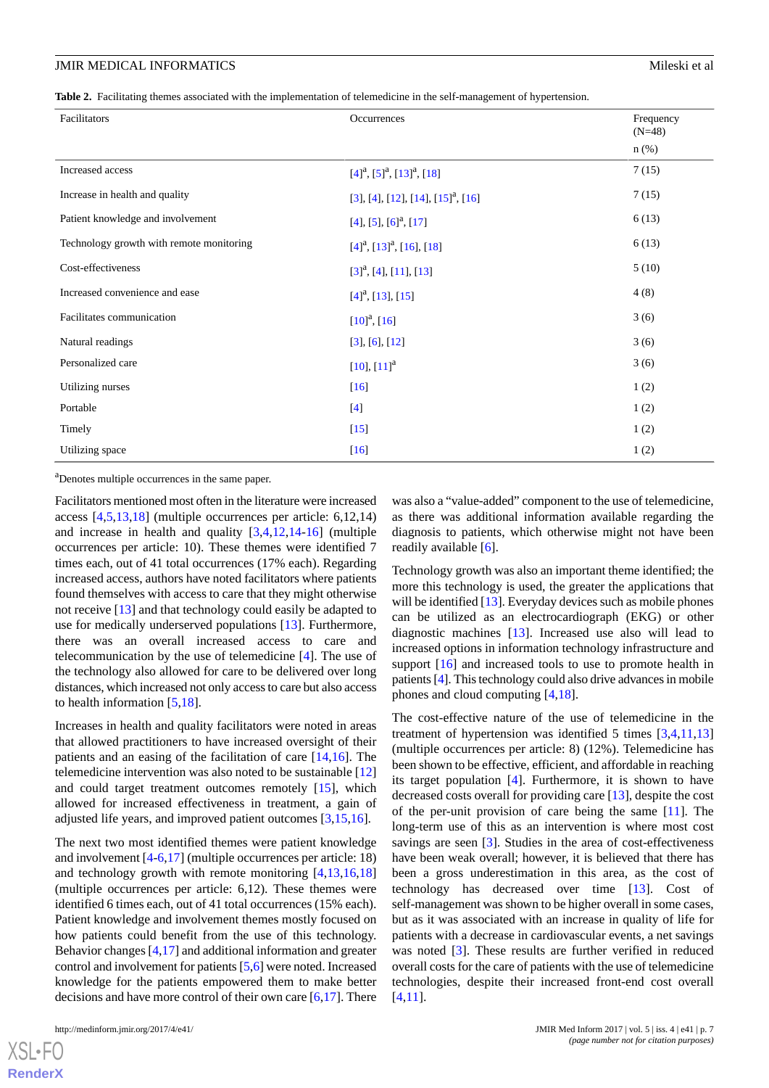### **JMIR MEDICAL INFORMATICS** And the state of all the state of all the state of all the state of all the state of all the state of all the state of all the state of all the state of all the state of all the state of all the

<span id="page-6-0"></span>**Table 2.** Facilitating themes associated with the implementation of telemedicine in the self-management of hypertension.

| Facilitators                             | Occurrences                                    | Frequency<br>$(N=48)$ |
|------------------------------------------|------------------------------------------------|-----------------------|
|                                          |                                                | $n$ (%)               |
| Increased access                         | $[4]^{a}$ , $[5]^{a}$ , $[13]^{a}$ , $[18]$    | 7(15)                 |
| Increase in health and quality           | [3], [4], [12], [14], [15] <sup>a</sup> , [16] | 7(15)                 |
| Patient knowledge and involvement        | [4], [5], [6] <sup>a</sup> , [17]              | 6(13)                 |
| Technology growth with remote monitoring | $[4]^{a}$ , $[13]^{a}$ , $[16]$ , $[18]$       | 6(13)                 |
| Cost-effectiveness                       | [3] <sup>a</sup> , [4], [11], [13]             | 5(10)                 |
| Increased convenience and ease           | $[4]^{a}$ , [13], [15]                         | 4(8)                  |
| Facilitates communication                | $[10]^{a}$ , [16]                              | 3(6)                  |
| Natural readings                         | $[3]$ , $[6]$ , $[12]$                         | 3(6)                  |
| Personalized care                        | $[10], [11]^{a}$                               | 3(6)                  |
| Utilizing nurses                         | $[16]$                                         | 1(2)                  |
| Portable                                 | $[4]$                                          | 1(2)                  |
| Timely                                   | $[15]$                                         | 1(2)                  |
| Utilizing space                          | $[16]$                                         | 1(2)                  |

<sup>a</sup>Denotes multiple occurrences in the same paper.

Facilitators mentioned most often in the literature were increased access [[4](#page-10-11)[,5](#page-10-1),[13](#page-10-12)[,18](#page-11-1)] (multiple occurrences per article: 6,12,14) and increase in health and quality [\[3](#page-10-9),[4](#page-10-11)[,12](#page-10-10),[14-](#page-10-13)[16\]](#page-10-15) (multiple occurrences per article: 10). These themes were identified 7 times each, out of 41 total occurrences (17% each). Regarding increased access, authors have noted facilitators where patients found themselves with access to care that they might otherwise not receive [[13\]](#page-10-12) and that technology could easily be adapted to use for medically underserved populations [\[13](#page-10-12)]. Furthermore, there was an overall increased access to care and telecommunication by the use of telemedicine [[4\]](#page-10-11). The use of the technology also allowed for care to be delivered over long distances, which increased not only access to care but also access to health information [[5](#page-10-1)[,18](#page-11-1)].

Increases in health and quality facilitators were noted in areas that allowed practitioners to have increased oversight of their patients and an easing of the facilitation of care [\[14](#page-10-13),[16\]](#page-10-15). The telemedicine intervention was also noted to be sustainable [\[12](#page-10-10)] and could target treatment outcomes remotely [\[15](#page-10-14)], which allowed for increased effectiveness in treatment, a gain of adjusted life years, and improved patient outcomes [[3,](#page-10-9)[15](#page-10-14),[16\]](#page-10-15).

The next two most identified themes were patient knowledge and involvement [[4-](#page-10-11)[6](#page-10-2),[17\]](#page-11-0) (multiple occurrences per article: 18) and technology growth with remote monitoring [[4](#page-10-11)[,13](#page-10-12),[16](#page-10-15)[,18](#page-11-1)] (multiple occurrences per article: 6,12). These themes were identified 6 times each, out of 41 total occurrences (15% each). Patient knowledge and involvement themes mostly focused on how patients could benefit from the use of this technology. Behavior changes [\[4](#page-10-11),[17\]](#page-11-0) and additional information and greater control and involvement for patients [[5,](#page-10-1)[6\]](#page-10-2) were noted. Increased knowledge for the patients empowered them to make better decisions and have more control of their own care [\[6](#page-10-2)[,17](#page-11-0)]. There

 $X$ SL•F $O$ **[RenderX](http://www.renderx.com/)** was also a "value-added" component to the use of telemedicine, as there was additional information available regarding the diagnosis to patients, which otherwise might not have been readily available [\[6](#page-10-2)].

Technology growth was also an important theme identified; the more this technology is used, the greater the applications that will be identified [[13\]](#page-10-12). Everyday devices such as mobile phones can be utilized as an electrocardiograph (EKG) or other diagnostic machines [[13\]](#page-10-12). Increased use also will lead to increased options in information technology infrastructure and support [[16\]](#page-10-15) and increased tools to use to promote health in patients [\[4\]](#page-10-11). This technology could also drive advances in mobile phones and cloud computing [[4,](#page-10-11)[18](#page-11-1)].

The cost-effective nature of the use of telemedicine in the treatment of hypertension was identified 5 times [[3](#page-10-9)[,4](#page-10-11),[11](#page-10-8)[,13](#page-10-12)] (multiple occurrences per article: 8) (12%). Telemedicine has been shown to be effective, efficient, and affordable in reaching its target population [\[4](#page-10-11)]. Furthermore, it is shown to have decreased costs overall for providing care [[13\]](#page-10-12), despite the cost of the per-unit provision of care being the same [[11\]](#page-10-8). The long-term use of this as an intervention is where most cost savings are seen [[3\]](#page-10-9). Studies in the area of cost-effectiveness have been weak overall; however, it is believed that there has been a gross underestimation in this area, as the cost of technology has decreased over time [\[13](#page-10-12)]. Cost of self-management was shown to be higher overall in some cases, but as it was associated with an increase in quality of life for patients with a decrease in cardiovascular events, a net savings was noted [\[3](#page-10-9)]. These results are further verified in reduced overall costs for the care of patients with the use of telemedicine technologies, despite their increased front-end cost overall [[4](#page-10-11)[,11](#page-10-8)].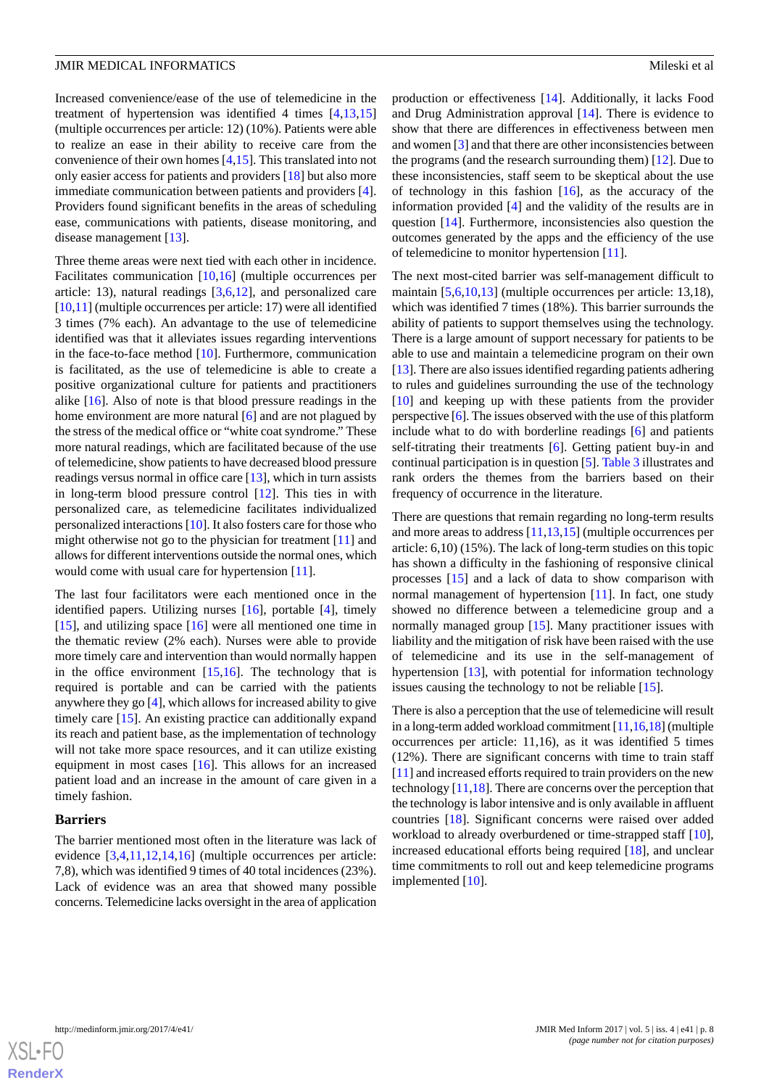Increased convenience/ease of the use of telemedicine in the treatment of hypertension was identified 4 times [\[4](#page-10-11),[13](#page-10-12)[,15](#page-10-14)] (multiple occurrences per article: 12) (10%). Patients were able to realize an ease in their ability to receive care from the convenience of their own homes [\[4](#page-10-11),[15\]](#page-10-14). This translated into not only easier access for patients and providers [\[18](#page-11-1)] but also more immediate communication between patients and providers [[4\]](#page-10-11). Providers found significant benefits in the areas of scheduling ease, communications with patients, disease monitoring, and disease management [[13\]](#page-10-12).

Three theme areas were next tied with each other in incidence. Facilitates communication [[10](#page-10-7)[,16](#page-10-15)] (multiple occurrences per article: 13), natural readings [\[3](#page-10-9),[6,](#page-10-2)[12](#page-10-10)], and personalized care [[10](#page-10-7)[,11](#page-10-8)] (multiple occurrences per article: 17) were all identified 3 times (7% each). An advantage to the use of telemedicine identified was that it alleviates issues regarding interventions in the face-to-face method [\[10](#page-10-7)]. Furthermore, communication is facilitated, as the use of telemedicine is able to create a positive organizational culture for patients and practitioners alike [\[16](#page-10-15)]. Also of note is that blood pressure readings in the home environment are more natural [\[6\]](#page-10-2) and are not plagued by the stress of the medical office or "white coat syndrome." These more natural readings, which are facilitated because of the use of telemedicine, show patients to have decreased blood pressure readings versus normal in office care [[13\]](#page-10-12), which in turn assists in long-term blood pressure control [\[12](#page-10-10)]. This ties in with personalized care, as telemedicine facilitates individualized personalized interactions [[10\]](#page-10-7). It also fosters care for those who might otherwise not go to the physician for treatment [\[11](#page-10-8)] and allows for different interventions outside the normal ones, which would come with usual care for hypertension [[11\]](#page-10-8).

The last four facilitators were each mentioned once in the identified papers. Utilizing nurses [[16\]](#page-10-15), portable [\[4](#page-10-11)], timely  $[15]$  $[15]$ , and utilizing space  $[16]$  $[16]$  were all mentioned one time in the thematic review (2% each). Nurses were able to provide more timely care and intervention than would normally happen in the office environment  $[15,16]$  $[15,16]$  $[15,16]$ . The technology that is required is portable and can be carried with the patients anywhere they go [\[4](#page-10-11)], which allows for increased ability to give timely care [[15\]](#page-10-14). An existing practice can additionally expand its reach and patient base, as the implementation of technology will not take more space resources, and it can utilize existing equipment in most cases [[16\]](#page-10-15). This allows for an increased patient load and an increase in the amount of care given in a timely fashion.

#### **Barriers**

The barrier mentioned most often in the literature was lack of evidence [\[3](#page-10-9),[4,](#page-10-11)[11](#page-10-8),[12,](#page-10-10)[14](#page-10-13),[16\]](#page-10-15) (multiple occurrences per article: 7,8), which was identified 9 times of 40 total incidences (23%). Lack of evidence was an area that showed many possible concerns. Telemedicine lacks oversight in the area of application

production or effectiveness [\[14](#page-10-13)]. Additionally, it lacks Food and Drug Administration approval [\[14](#page-10-13)]. There is evidence to show that there are differences in effectiveness between men and women [[3\]](#page-10-9) and that there are other inconsistencies between the programs (and the research surrounding them) [[12\]](#page-10-10). Due to these inconsistencies, staff seem to be skeptical about the use of technology in this fashion [[16\]](#page-10-15), as the accuracy of the information provided [[4\]](#page-10-11) and the validity of the results are in question [\[14](#page-10-13)]. Furthermore, inconsistencies also question the outcomes generated by the apps and the efficiency of the use of telemedicine to monitor hypertension [[11\]](#page-10-8).

The next most-cited barrier was self-management difficult to maintain [[5,](#page-10-1)[6](#page-10-2),[10,](#page-10-7)[13](#page-10-12)] (multiple occurrences per article: 13,18), which was identified 7 times (18%). This barrier surrounds the ability of patients to support themselves using the technology. There is a large amount of support necessary for patients to be able to use and maintain a telemedicine program on their own [[13\]](#page-10-12). There are also issues identified regarding patients adhering to rules and guidelines surrounding the use of the technology [[10\]](#page-10-7) and keeping up with these patients from the provider perspective [[6\]](#page-10-2). The issues observed with the use of this platform include what to do with borderline readings [[6\]](#page-10-2) and patients self-titrating their treatments [\[6](#page-10-2)]. Getting patient buy-in and continual participation is in question [\[5](#page-10-1)]. [Table 3](#page-8-0) illustrates and rank orders the themes from the barriers based on their frequency of occurrence in the literature.

There are questions that remain regarding no long-term results and more areas to address [[11](#page-10-8)[,13](#page-10-12),[15\]](#page-10-14) (multiple occurrences per article: 6,10) (15%). The lack of long-term studies on this topic has shown a difficulty in the fashioning of responsive clinical processes [\[15](#page-10-14)] and a lack of data to show comparison with normal management of hypertension [[11\]](#page-10-8). In fact, one study showed no difference between a telemedicine group and a normally managed group [[15\]](#page-10-14). Many practitioner issues with liability and the mitigation of risk have been raised with the use of telemedicine and its use in the self-management of hypertension [\[13](#page-10-12)], with potential for information technology issues causing the technology to not be reliable [\[15](#page-10-14)].

There is also a perception that the use of telemedicine will result in a long-term added workload commitment [[11,](#page-10-8)[16](#page-10-15)[,18\]](#page-11-1) (multiple occurrences per article: 11,16), as it was identified 5 times (12%). There are significant concerns with time to train staff [[11\]](#page-10-8) and increased efforts required to train providers on the new technology [\[11](#page-10-8),[18\]](#page-11-1). There are concerns over the perception that the technology is labor intensive and is only available in affluent countries [[18\]](#page-11-1). Significant concerns were raised over added workload to already overburdened or time-strapped staff [[10\]](#page-10-7), increased educational efforts being required [\[18](#page-11-1)], and unclear time commitments to roll out and keep telemedicine programs implemented [[10\]](#page-10-7).

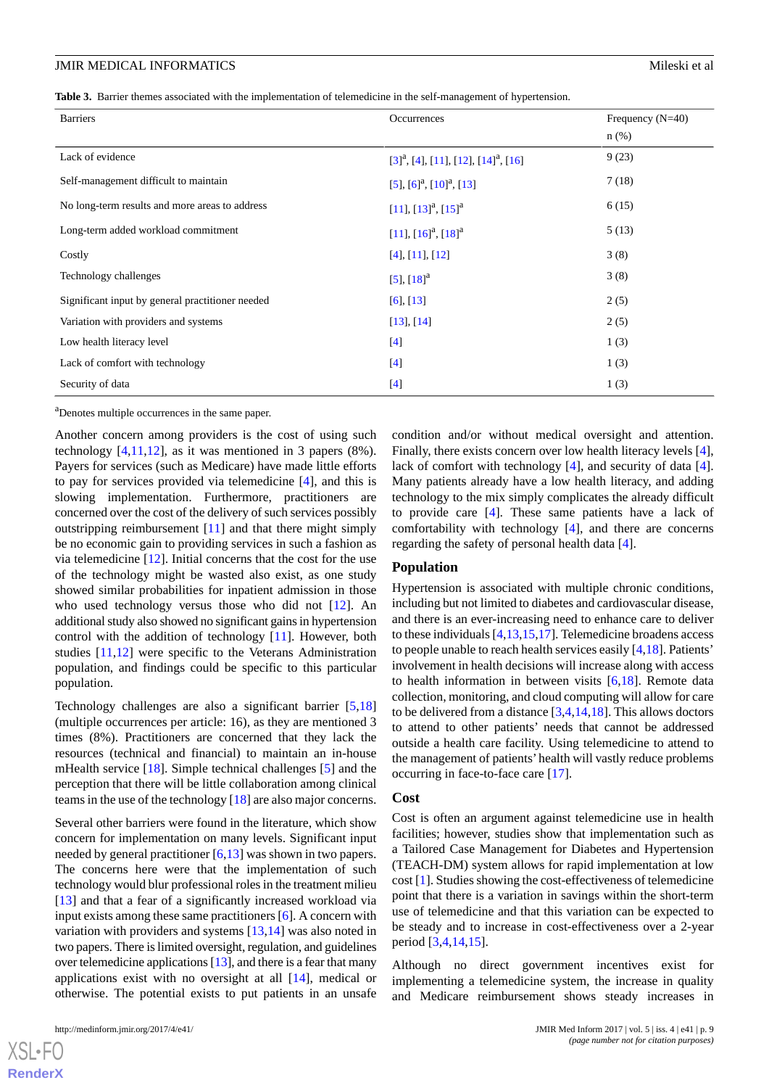### **JMIR MEDICAL INFORMATICS** And the state of all the state of all the state of all the state of all the state of all the state of all the state of all the state of all the state of all the state of all the state of all the

<span id="page-8-0"></span>

|  |  |  |  |  | Table 3. Barrier themes associated with the implementation of telemedicine in the self-management of hypertension. |  |  |  |  |
|--|--|--|--|--|--------------------------------------------------------------------------------------------------------------------|--|--|--|--|
|--|--|--|--|--|--------------------------------------------------------------------------------------------------------------------|--|--|--|--|

| <b>Barriers</b>                                  | Occurrences                                                    | Frequency $(N=40)$ |
|--------------------------------------------------|----------------------------------------------------------------|--------------------|
|                                                  |                                                                | $n$ (%)            |
| Lack of evidence                                 | $[3]$ <sup>a</sup> , [4], [11], [12], [14] <sup>a</sup> , [16] | 9(23)              |
| Self-management difficult to maintain            | $[5]$ , $[6]$ <sup>a</sup> , $[10]$ <sup>a</sup> , $[13]$      | 7(18)              |
| No long-term results and more areas to address   | $[11]$ , $[13]$ <sup>a</sup> , $[15]$ <sup>a</sup>             | 6(15)              |
| Long-term added workload commitment              | $[11]$ , $[16]$ <sup>a</sup> , $[18]$ <sup>a</sup>             | 5(13)              |
| Costly                                           | [4], [11], [12]                                                | 3(8)               |
| Technology challenges                            | $[5]$ , $[18]$ <sup>a</sup>                                    | 3(8)               |
| Significant input by general practitioner needed | [6], [13]                                                      | 2(5)               |
| Variation with providers and systems             | [13], [14]                                                     | 2(5)               |
| Low health literacy level                        | $[4]$                                                          | 1(3)               |
| Lack of comfort with technology                  | [4]                                                            | 1(3)               |
| Security of data                                 | $[4]$                                                          | 1(3)               |

<sup>a</sup>Denotes multiple occurrences in the same paper.

Another concern among providers is the cost of using such technology  $[4,11,12]$  $[4,11,12]$  $[4,11,12]$  $[4,11,12]$  $[4,11,12]$ , as it was mentioned in 3 papers  $(8\%)$ . Payers for services (such as Medicare) have made little efforts to pay for services provided via telemedicine [[4\]](#page-10-11), and this is slowing implementation. Furthermore, practitioners are concerned over the cost of the delivery of such services possibly outstripping reimbursement [[11\]](#page-10-8) and that there might simply be no economic gain to providing services in such a fashion as via telemedicine [\[12](#page-10-10)]. Initial concerns that the cost for the use of the technology might be wasted also exist, as one study showed similar probabilities for inpatient admission in those who used technology versus those who did not [\[12](#page-10-10)]. An additional study also showed no significant gains in hypertension control with the addition of technology [\[11](#page-10-8)]. However, both studies [[11,](#page-10-8)[12\]](#page-10-10) were specific to the Veterans Administration population, and findings could be specific to this particular population.

Technology challenges are also a significant barrier [[5](#page-10-1)[,18](#page-11-1)] (multiple occurrences per article: 16), as they are mentioned 3 times (8%). Practitioners are concerned that they lack the resources (technical and financial) to maintain an in-house mHealth service [\[18](#page-11-1)]. Simple technical challenges [\[5](#page-10-1)] and the perception that there will be little collaboration among clinical teams in the use of the technology [[18\]](#page-11-1) are also major concerns.

Several other barriers were found in the literature, which show concern for implementation on many levels. Significant input needed by general practitioner [[6](#page-10-2)[,13](#page-10-12)] was shown in two papers. The concerns here were that the implementation of such technology would blur professional roles in the treatment milieu [[13\]](#page-10-12) and that a fear of a significantly increased workload via input exists among these same practitioners [[6\]](#page-10-2). A concern with variation with providers and systems [[13,](#page-10-12)[14](#page-10-13)] was also noted in two papers. There is limited oversight, regulation, and guidelines over telemedicine applications [\[13](#page-10-12)], and there is a fear that many applications exist with no oversight at all [[14\]](#page-10-13), medical or otherwise. The potential exists to put patients in an unsafe

 $X$ SL•FO **[RenderX](http://www.renderx.com/)** condition and/or without medical oversight and attention. Finally, there exists concern over low health literacy levels [[4\]](#page-10-11), lack of comfort with technology [\[4](#page-10-11)], and security of data [[4\]](#page-10-11). Many patients already have a low health literacy, and adding technology to the mix simply complicates the already difficult to provide care [[4\]](#page-10-11). These same patients have a lack of comfortability with technology [[4\]](#page-10-11), and there are concerns regarding the safety of personal health data [[4\]](#page-10-11).

#### **Population**

Hypertension is associated with multiple chronic conditions, including but not limited to diabetes and cardiovascular disease, and there is an ever-increasing need to enhance care to deliver to these individuals [[4,](#page-10-11)[13](#page-10-12)[,15](#page-10-14),[17\]](#page-11-0). Telemedicine broadens access to people unable to reach health services easily [[4,](#page-10-11)[18](#page-11-1)]. Patients' involvement in health decisions will increase along with access to health information in between visits [\[6](#page-10-2),[18\]](#page-11-1). Remote data collection, monitoring, and cloud computing will allow for care to be delivered from a distance [\[3](#page-10-9),[4,](#page-10-11)[14](#page-10-13),[18\]](#page-11-1). This allows doctors to attend to other patients' needs that cannot be addressed outside a health care facility. Using telemedicine to attend to the management of patients' health will vastly reduce problems occurring in face-to-face care [\[17](#page-11-0)].

#### **Cost**

Cost is often an argument against telemedicine use in health facilities; however, studies show that implementation such as a Tailored Case Management for Diabetes and Hypertension (TEACH-DM) system allows for rapid implementation at low cost [[1\]](#page-10-0). Studies showing the cost-effectiveness of telemedicine point that there is a variation in savings within the short-term use of telemedicine and that this variation can be expected to be steady and to increase in cost-effectiveness over a 2-year period [\[3](#page-10-9)[,4,](#page-10-11)[14](#page-10-13)[,15](#page-10-14)].

Although no direct government incentives exist for implementing a telemedicine system, the increase in quality and Medicare reimbursement shows steady increases in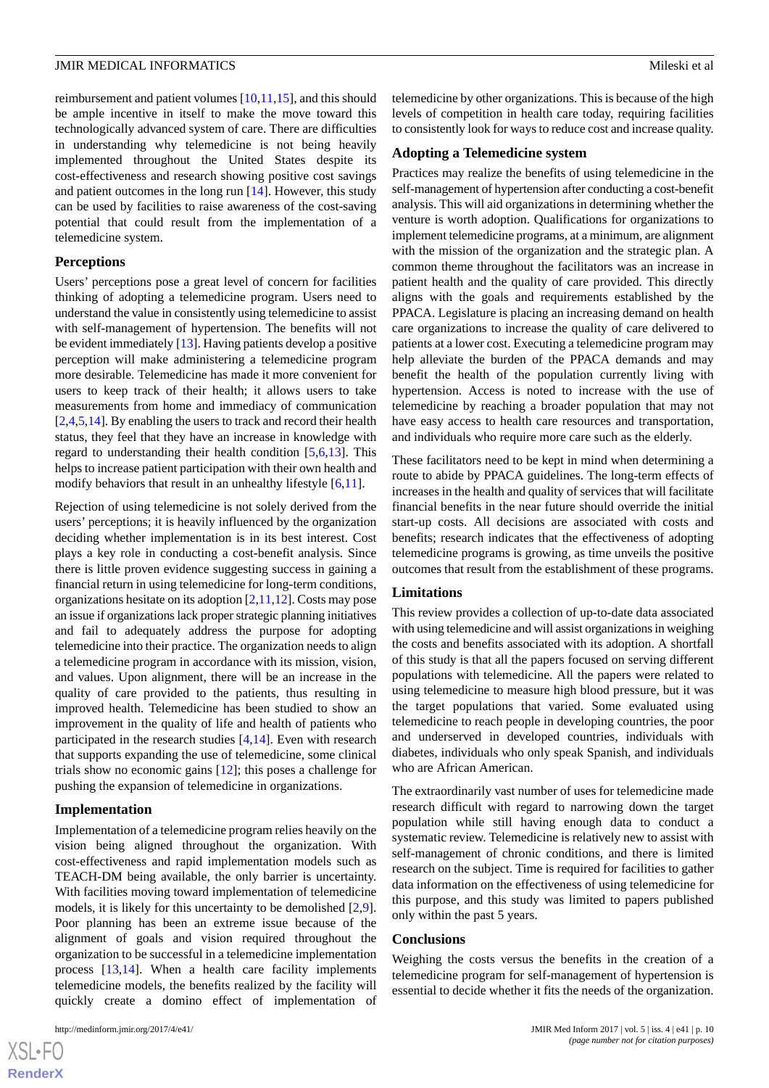reimbursement and patient volumes [\[10](#page-10-7),[11,](#page-10-8)[15](#page-10-14)], and this should be ample incentive in itself to make the move toward this technologically advanced system of care. There are difficulties in understanding why telemedicine is not being heavily implemented throughout the United States despite its cost-effectiveness and research showing positive cost savings and patient outcomes in the long run [\[14](#page-10-13)]. However, this study can be used by facilities to raise awareness of the cost-saving potential that could result from the implementation of a telemedicine system.

### **Perceptions**

Users' perceptions pose a great level of concern for facilities thinking of adopting a telemedicine program. Users need to understand the value in consistently using telemedicine to assist with self-management of hypertension. The benefits will not be evident immediately [[13\]](#page-10-12). Having patients develop a positive perception will make administering a telemedicine program more desirable. Telemedicine has made it more convenient for users to keep track of their health; it allows users to take measurements from home and immediacy of communication [[2](#page-10-4)[,4](#page-10-11),[5,](#page-10-1)[14](#page-10-13)]. By enabling the users to track and record their health status, they feel that they have an increase in knowledge with regard to understanding their health condition [\[5](#page-10-1),[6,](#page-10-2)[13](#page-10-12)]. This helps to increase patient participation with their own health and modify behaviors that result in an unhealthy lifestyle [[6](#page-10-2),[11\]](#page-10-8).

Rejection of using telemedicine is not solely derived from the users' perceptions; it is heavily influenced by the organization deciding whether implementation is in its best interest. Cost plays a key role in conducting a cost-benefit analysis. Since there is little proven evidence suggesting success in gaining a financial return in using telemedicine for long-term conditions, organizations hesitate on its adoption [[2](#page-10-4)[,11](#page-10-8),[12\]](#page-10-10). Costs may pose an issue if organizations lack proper strategic planning initiatives and fail to adequately address the purpose for adopting telemedicine into their practice. The organization needs to align a telemedicine program in accordance with its mission, vision, and values. Upon alignment, there will be an increase in the quality of care provided to the patients, thus resulting in improved health. Telemedicine has been studied to show an improvement in the quality of life and health of patients who participated in the research studies [\[4](#page-10-11),[14\]](#page-10-13). Even with research that supports expanding the use of telemedicine, some clinical trials show no economic gains [\[12](#page-10-10)]; this poses a challenge for pushing the expansion of telemedicine in organizations.

#### **Implementation**

Implementation of a telemedicine program relies heavily on the vision being aligned throughout the organization. With cost-effectiveness and rapid implementation models such as TEACH-DM being available, the only barrier is uncertainty. With facilities moving toward implementation of telemedicine models, it is likely for this uncertainty to be demolished [\[2](#page-10-4),[9\]](#page-10-6). Poor planning has been an extreme issue because of the alignment of goals and vision required throughout the organization to be successful in a telemedicine implementation process [\[13](#page-10-12)[,14](#page-10-13)]. When a health care facility implements telemedicine models, the benefits realized by the facility will quickly create a domino effect of implementation of

 $XS$  $\cdot$ FC **[RenderX](http://www.renderx.com/)** telemedicine by other organizations. This is because of the high levels of competition in health care today, requiring facilities to consistently look for ways to reduce cost and increase quality.

### **Adopting a Telemedicine system**

Practices may realize the benefits of using telemedicine in the self-management of hypertension after conducting a cost-benefit analysis. This will aid organizations in determining whether the venture is worth adoption. Qualifications for organizations to implement telemedicine programs, at a minimum, are alignment with the mission of the organization and the strategic plan. A common theme throughout the facilitators was an increase in patient health and the quality of care provided. This directly aligns with the goals and requirements established by the PPACA. Legislature is placing an increasing demand on health care organizations to increase the quality of care delivered to patients at a lower cost. Executing a telemedicine program may help alleviate the burden of the PPACA demands and may benefit the health of the population currently living with hypertension. Access is noted to increase with the use of telemedicine by reaching a broader population that may not have easy access to health care resources and transportation, and individuals who require more care such as the elderly.

These facilitators need to be kept in mind when determining a route to abide by PPACA guidelines. The long-term effects of increases in the health and quality of services that will facilitate financial benefits in the near future should override the initial start-up costs. All decisions are associated with costs and benefits; research indicates that the effectiveness of adopting telemedicine programs is growing, as time unveils the positive outcomes that result from the establishment of these programs.

### **Limitations**

This review provides a collection of up-to-date data associated with using telemedicine and will assist organizations in weighing the costs and benefits associated with its adoption. A shortfall of this study is that all the papers focused on serving different populations with telemedicine. All the papers were related to using telemedicine to measure high blood pressure, but it was the target populations that varied. Some evaluated using telemedicine to reach people in developing countries, the poor and underserved in developed countries, individuals with diabetes, individuals who only speak Spanish, and individuals who are African American.

The extraordinarily vast number of uses for telemedicine made research difficult with regard to narrowing down the target population while still having enough data to conduct a systematic review. Telemedicine is relatively new to assist with self-management of chronic conditions, and there is limited research on the subject. Time is required for facilities to gather data information on the effectiveness of using telemedicine for this purpose, and this study was limited to papers published only within the past 5 years.

### **Conclusions**

Weighing the costs versus the benefits in the creation of a telemedicine program for self-management of hypertension is essential to decide whether it fits the needs of the organization.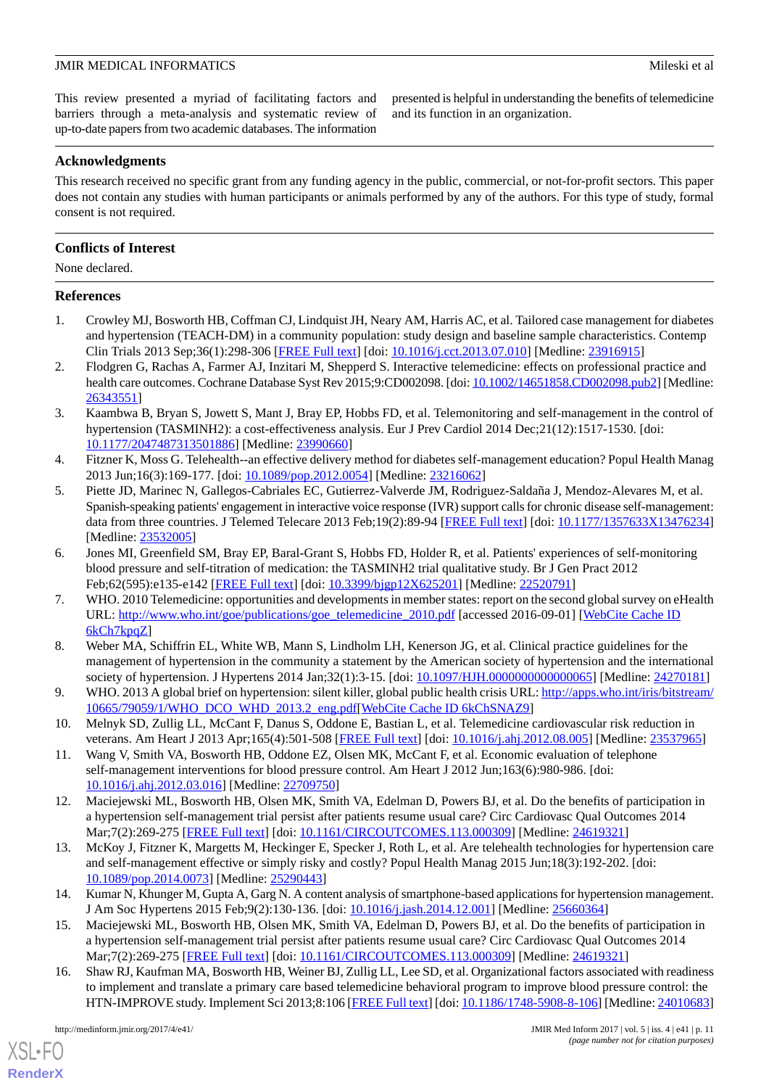This review presented a myriad of facilitating factors and barriers through a meta-analysis and systematic review of up-to-date papers from two academic databases. The information presented is helpful in understanding the benefits of telemedicine and its function in an organization.

# **Acknowledgments**

This research received no specific grant from any funding agency in the public, commercial, or not-for-profit sectors. This paper does not contain any studies with human participants or animals performed by any of the authors. For this type of study, formal consent is not required.

# **Conflicts of Interest**

None declared.

# <span id="page-10-0"></span>**References**

- <span id="page-10-4"></span>1. Crowley MJ, Bosworth HB, Coffman CJ, Lindquist JH, Neary AM, Harris AC, et al. Tailored case management for diabetes and hypertension (TEACH-DM) in a community population: study design and baseline sample characteristics. Contemp Clin Trials 2013 Sep;36(1):298-306 [[FREE Full text](http://europepmc.org/abstract/MED/23916915)] [doi: [10.1016/j.cct.2013.07.010\]](http://dx.doi.org/10.1016/j.cct.2013.07.010) [Medline: [23916915\]](http://www.ncbi.nlm.nih.gov/entrez/query.fcgi?cmd=Retrieve&db=PubMed&list_uids=23916915&dopt=Abstract)
- <span id="page-10-9"></span>2. Flodgren G, Rachas A, Farmer AJ, Inzitari M, Shepperd S. Interactive telemedicine: effects on professional practice and health care outcomes. Cochrane Database Syst Rev 2015;9:CD002098. [doi: [10.1002/14651858.CD002098.pub2\]](http://dx.doi.org/10.1002/14651858.CD002098.pub2) [Medline: [26343551](http://www.ncbi.nlm.nih.gov/entrez/query.fcgi?cmd=Retrieve&db=PubMed&list_uids=26343551&dopt=Abstract)]
- <span id="page-10-11"></span>3. Kaambwa B, Bryan S, Jowett S, Mant J, Bray EP, Hobbs FD, et al. Telemonitoring and self-management in the control of hypertension (TASMINH2): a cost-effectiveness analysis. Eur J Prev Cardiol 2014 Dec;21(12):1517-1530. [doi: [10.1177/2047487313501886\]](http://dx.doi.org/10.1177/2047487313501886) [Medline: [23990660\]](http://www.ncbi.nlm.nih.gov/entrez/query.fcgi?cmd=Retrieve&db=PubMed&list_uids=23990660&dopt=Abstract)
- <span id="page-10-1"></span>4. Fitzner K, Moss G. Telehealth--an effective delivery method for diabetes self-management education? Popul Health Manag 2013 Jun;16(3):169-177. [doi: [10.1089/pop.2012.0054](http://dx.doi.org/10.1089/pop.2012.0054)] [Medline: [23216062\]](http://www.ncbi.nlm.nih.gov/entrez/query.fcgi?cmd=Retrieve&db=PubMed&list_uids=23216062&dopt=Abstract)
- <span id="page-10-2"></span>5. Piette JD, Marinec N, Gallegos-Cabriales EC, Gutierrez-Valverde JM, Rodriguez-Saldaña J, Mendoz-Alevares M, et al. Spanish-speaking patients' engagement in interactive voice response (IVR) support calls for chronic disease self-management: data from three countries. J Telemed Telecare 2013 Feb;19(2):89-94 [\[FREE Full text\]](http://europepmc.org/abstract/MED/23532005) [doi: [10.1177/1357633X13476234](http://dx.doi.org/10.1177/1357633X13476234)] [Medline: [23532005](http://www.ncbi.nlm.nih.gov/entrez/query.fcgi?cmd=Retrieve&db=PubMed&list_uids=23532005&dopt=Abstract)]
- <span id="page-10-3"></span>6. Jones MI, Greenfield SM, Bray EP, Baral-Grant S, Hobbs FD, Holder R, et al. Patients' experiences of self-monitoring blood pressure and self-titration of medication: the TASMINH2 trial qualitative study. Br J Gen Pract 2012 Feb;62(595):e135-e142 [[FREE Full text](http://bjgp.org/cgi/pmidlookup?view=long&pmid=22520791)] [doi: [10.3399/bjgp12X625201\]](http://dx.doi.org/10.3399/bjgp12X625201) [Medline: [22520791](http://www.ncbi.nlm.nih.gov/entrez/query.fcgi?cmd=Retrieve&db=PubMed&list_uids=22520791&dopt=Abstract)]
- <span id="page-10-5"></span>7. WHO. 2010 Telemedicine: opportunities and developments in member states: report on the second global survey on eHealth URL: [http://www.who.int/goe/publications/goe\\_telemedicine\\_2010.pdf](http://www.who.int/goe/publications/goe_telemedicine_2010.pdf) [accessed 2016-09-01] [[WebCite Cache ID](http://www.webcitation.org/

                                6kCh7kpqZ) [6kCh7kpqZ](http://www.webcitation.org/

                                6kCh7kpqZ)]
- <span id="page-10-7"></span><span id="page-10-6"></span>8. Weber MA, Schiffrin EL, White WB, Mann S, Lindholm LH, Kenerson JG, et al. Clinical practice guidelines for the management of hypertension in the community a statement by the American society of hypertension and the international society of hypertension. J Hypertens 2014 Jan;32(1):3-15. [doi: 10.1097/HJH.00000000000000065] [Medline: [24270181](http://www.ncbi.nlm.nih.gov/entrez/query.fcgi?cmd=Retrieve&db=PubMed&list_uids=24270181&dopt=Abstract)]
- <span id="page-10-8"></span>9. WHO. 2013 A global brief on hypertension: silent killer, global public health crisis URL: [http://apps.who.int/iris/bitstream/](http://apps.who.int/iris/bitstream/10665/79059/1/WHO_DCO_WHD_2013.2_eng.pdf) [10665/79059/1/WHO\\_DCO\\_WHD\\_2013.2\\_eng.pdf](http://apps.who.int/iris/bitstream/10665/79059/1/WHO_DCO_WHD_2013.2_eng.pdf)[[WebCite Cache ID 6kChSNAZ9](http://www.webcitation.org/

                                6kChSNAZ9)]
- <span id="page-10-10"></span>10. Melnyk SD, Zullig LL, McCant F, Danus S, Oddone E, Bastian L, et al. Telemedicine cardiovascular risk reduction in veterans. Am Heart J 2013 Apr;165(4):501-508 [[FREE Full text](http://europepmc.org/abstract/MED/23537965)] [doi: [10.1016/j.ahj.2012.08.005\]](http://dx.doi.org/10.1016/j.ahj.2012.08.005) [Medline: [23537965](http://www.ncbi.nlm.nih.gov/entrez/query.fcgi?cmd=Retrieve&db=PubMed&list_uids=23537965&dopt=Abstract)]
- <span id="page-10-12"></span>11. Wang V, Smith VA, Bosworth HB, Oddone EZ, Olsen MK, McCant F, et al. Economic evaluation of telephone self-management interventions for blood pressure control. Am Heart J 2012 Jun;163(6):980-986. [doi: [10.1016/j.ahj.2012.03.016\]](http://dx.doi.org/10.1016/j.ahj.2012.03.016) [Medline: [22709750\]](http://www.ncbi.nlm.nih.gov/entrez/query.fcgi?cmd=Retrieve&db=PubMed&list_uids=22709750&dopt=Abstract)
- <span id="page-10-13"></span>12. Maciejewski ML, Bosworth HB, Olsen MK, Smith VA, Edelman D, Powers BJ, et al. Do the benefits of participation in a hypertension self-management trial persist after patients resume usual care? Circ Cardiovasc Qual Outcomes 2014 Mar;7(2):269-275 [[FREE Full text\]](http://circoutcomes.ahajournals.org/cgi/pmidlookup?view=long&pmid=24619321) [doi: [10.1161/CIRCOUTCOMES.113.000309\]](http://dx.doi.org/10.1161/CIRCOUTCOMES.113.000309) [Medline: [24619321\]](http://www.ncbi.nlm.nih.gov/entrez/query.fcgi?cmd=Retrieve&db=PubMed&list_uids=24619321&dopt=Abstract)
- <span id="page-10-14"></span>13. McKoy J, Fitzner K, Margetts M, Heckinger E, Specker J, Roth L, et al. Are telehealth technologies for hypertension care and self-management effective or simply risky and costly? Popul Health Manag 2015 Jun;18(3):192-202. [doi: [10.1089/pop.2014.0073\]](http://dx.doi.org/10.1089/pop.2014.0073) [Medline: [25290443\]](http://www.ncbi.nlm.nih.gov/entrez/query.fcgi?cmd=Retrieve&db=PubMed&list_uids=25290443&dopt=Abstract)
- <span id="page-10-15"></span>14. Kumar N, Khunger M, Gupta A, Garg N. A content analysis of smartphone-based applications for hypertension management. J Am Soc Hypertens 2015 Feb;9(2):130-136. [doi: [10.1016/j.jash.2014.12.001](http://dx.doi.org/10.1016/j.jash.2014.12.001)] [Medline: [25660364\]](http://www.ncbi.nlm.nih.gov/entrez/query.fcgi?cmd=Retrieve&db=PubMed&list_uids=25660364&dopt=Abstract)
- 15. Maciejewski ML, Bosworth HB, Olsen MK, Smith VA, Edelman D, Powers BJ, et al. Do the benefits of participation in a hypertension self-management trial persist after patients resume usual care? Circ Cardiovasc Qual Outcomes 2014 Mar;7(2):269-275 [[FREE Full text\]](http://circoutcomes.ahajournals.org/cgi/pmidlookup?view=long&pmid=24619321) [doi: [10.1161/CIRCOUTCOMES.113.000309\]](http://dx.doi.org/10.1161/CIRCOUTCOMES.113.000309) [Medline: [24619321\]](http://www.ncbi.nlm.nih.gov/entrez/query.fcgi?cmd=Retrieve&db=PubMed&list_uids=24619321&dopt=Abstract)
- 16. Shaw RJ, Kaufman MA, Bosworth HB, Weiner BJ, Zullig LL, Lee SD, et al. Organizational factors associated with readiness to implement and translate a primary care based telemedicine behavioral program to improve blood pressure control: the HTN-IMPROVE study. Implement Sci 2013;8:106 [\[FREE Full text\]](http://implementationscience.biomedcentral.com/articles/10.1186/1748-5908-8-106) [doi: [10.1186/1748-5908-8-106\]](http://dx.doi.org/10.1186/1748-5908-8-106) [Medline: [24010683](http://www.ncbi.nlm.nih.gov/entrez/query.fcgi?cmd=Retrieve&db=PubMed&list_uids=24010683&dopt=Abstract)]

[XSL](http://www.w3.org/Style/XSL)•FO **[RenderX](http://www.renderx.com/)**